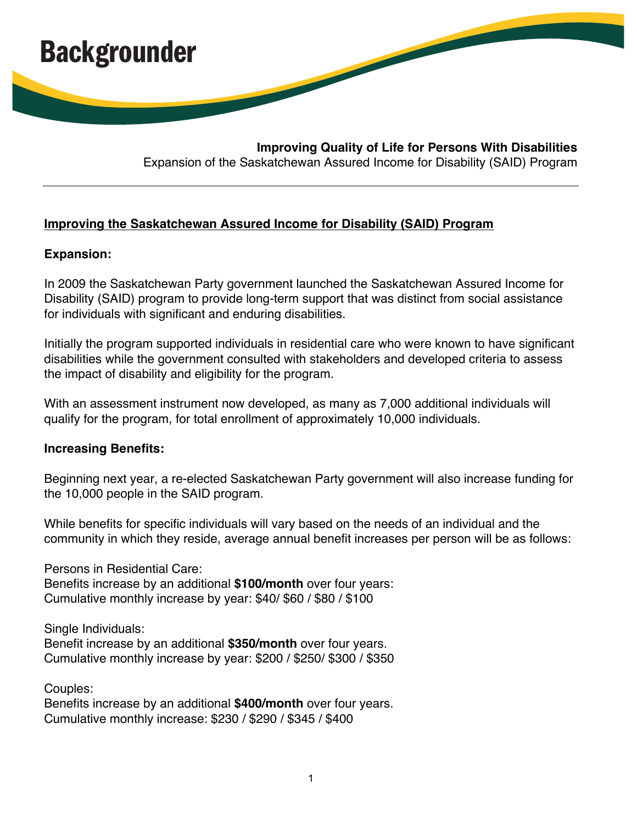

**Improving Quality of Life for Persons With Disabilities**  Expansion of the Saskatchewan Assured Income for Disability (SAID) Program

## **Improving the Saskatchewan Assured Income for Disability (SAID) Program**

## **Expansion:**

In 2009 the Saskatchewan Party government launched the Saskatchewan Assured Income for Disability (SAID) program to provide long-term support that was distinct from social assistance for individuals with significant and enduring disabilities.

Initially the program supported individuals in residential care who were known to have significant disabilities while the government consulted with stakeholders and developed criteria to assess the impact of disability and eligibility for the program.

With an assessment instrument now developed, as many as 7,000 additional individuals will qualify for the program, for total enrollment of approximately 10,000 individuals.

## **Increasing Benefits:**

Beginning next year, a re-elected Saskatchewan Party government will also increase funding for the 10,000 people in the SAID program.

While benefits for specific individuals will vary based on the needs of an individual and the community in which they reside, average annual benefit increases per person will be as follows:

Persons in Residential Care:

Benefits increase by an additional **\$100/month** over four years: Cumulative monthly increase by year: \$40/ \$60 / \$80 / \$100

Single Individuals:

Benefit increase by an additional **\$350/month** over four years. Cumulative monthly increase by year: \$200 / \$250/ \$300 / \$350

Couples:

Benefits increase by an additional **\$400/month** over four years. Cumulative monthly increase: \$230 / \$290 / \$345 / \$400